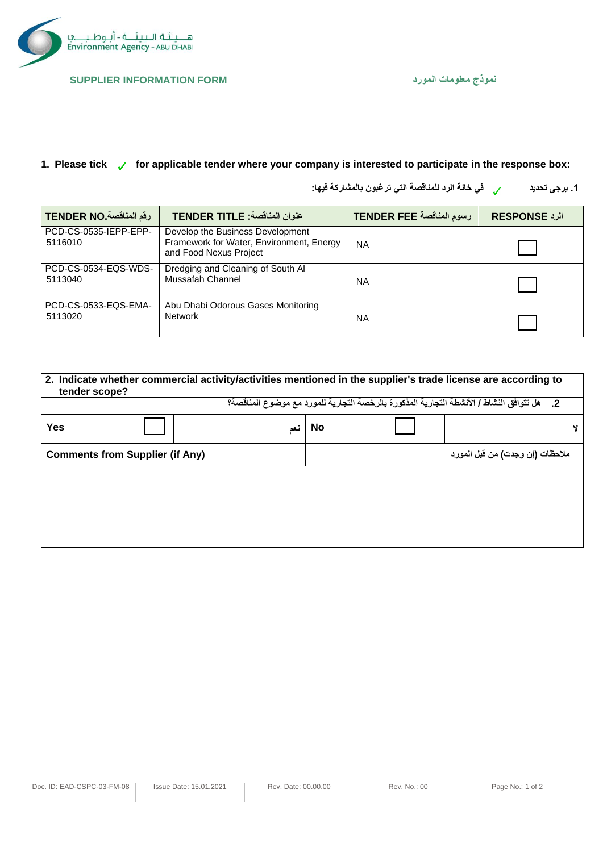

## **نموذج معلومات المورد FORM INFORMATION SUPPLIER**

**الرد RESPONSE رسوم المناقصة FEE TENDER عنوان المناقصة: TITLE TENDER رقم المناقصة .NO TENDER**

## **1. Please tick for applicable tender where your company is interested to participate in the response box:**

**.1 يرجى تحديد في خانة الرد للمناقصة التي ترغبون بالمشاركة فيها:** 

|        | رسوم المناقصة TENDER FEE | <b>IRESPONSE</b> |
|--------|--------------------------|------------------|
| Energy | NA                       |                  |

| PCD-CS-0535-IEPP-EPP-<br>5116010 | Develop the Business Development<br>Framework for Water, Environment, Energy<br>and Food Nexus Project | <b>NA</b> |  |
|----------------------------------|--------------------------------------------------------------------------------------------------------|-----------|--|
| PCD-CS-0534-EQS-WDS-<br>5113040  | Dredging and Cleaning of South Al<br>Mussafah Channel                                                  | ΝA        |  |
| PCD-CS-0533-EQS-EMA-<br>5113020  | Abu Dhabi Odorous Gases Monitoring<br><b>Network</b>                                                   | <b>NA</b> |  |

| 2. Indicate whether commercial activity/activities mentioned in the supplier's trade license are according to<br>tender scope? |     |           |                                 |  |  |  |  |
|--------------------------------------------------------------------------------------------------------------------------------|-----|-----------|---------------------------------|--|--|--|--|
| 2.     هل نتوافق النشاط / الأنشطة النجارية المذكورة بالرخصة النجارية للمورد مع موضوع المناقصة؟                                 |     |           |                                 |  |  |  |  |
| <b>Yes</b>                                                                                                                     | نعم | <b>No</b> |                                 |  |  |  |  |
| <b>Comments from Supplier (if Any)</b>                                                                                         |     |           | ملاحظات (إن وجدت) من قبل المورد |  |  |  |  |
|                                                                                                                                |     |           |                                 |  |  |  |  |
|                                                                                                                                |     |           |                                 |  |  |  |  |
|                                                                                                                                |     |           |                                 |  |  |  |  |
|                                                                                                                                |     |           |                                 |  |  |  |  |